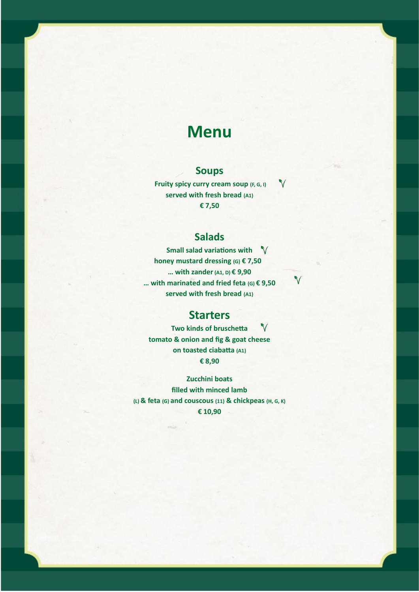# **Menu**

## **Soups**

 $\mathbf V$  **Fruity spicy curry cream soup (F, G, I) served with fresh bread (A1) € 7,50**

# **Salads**

**Small salad variations with honey mustard dressing (G) € 7,50 … with zander(A1, D) € 9,90 … with marinated and fried feta (G) € 9,50 served with fresh bread (A1)**

 $\checkmark$ 

## **Starters**

 $\mathbf{V}$ **Two kinds of bruschetta tomato & onion and fig & goat cheese on toasted ciabatta (A1) € 8,90**

**Zucchini boats filled with minced lamb (L) & feta (G) and couscous (11) & chickpeas (H, G, K) € 10,90**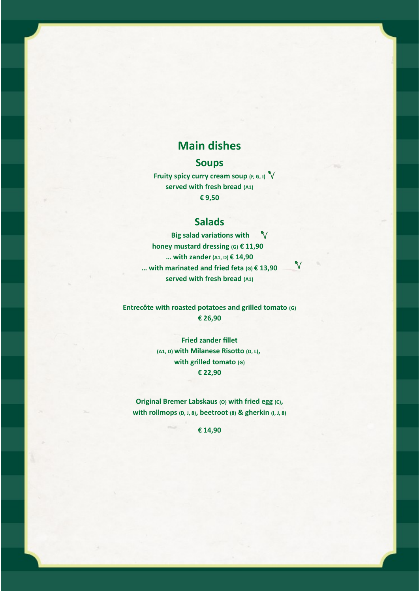# **Main dishes**

### **Soups**

**Fruity spicy curry cream soup (F, G, I) served with fresh bread (A1) € 9,50**

### **Salads**

 **Big salad variations with**  $\sqrt{}$ **honey mustard dressing (G) € 11,90 … with zander(A1, D) € 14,90 … with marinated and fried feta (G) € 13,90 served with fresh bread (A1)**

 $\sqrt{}$ 

**Entrecôte with roasted potatoes and grilled tomato (G) € 26,90**

> **Fried zander fillet (A1, D) with Milanese Risotto (D, L), with grilled tomato (G) € 22,90**

**Original Bremer Labskaus (O) with fried egg (C), with rollmops (D, J, 8), beetroot (8) & gherkin (I, J, 8)**

**€ 14,90**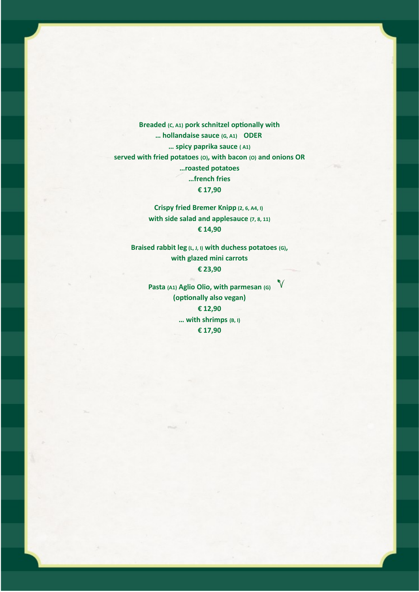**Breaded (C, A1) pork schnitzel optionally with … hollandaise sauce (G, A1) ODER … spicy paprika sauce ( A1) served with fried potatoes (O), with bacon (O) and onions OR …roasted potatoes …french fries € 17,90**

> **Crispy fried Bremer Knipp (2, 6, A4, I) with side salad and applesauce (7, 8, 11) € 14,90**

**Braised rabbit leg (L, J, I) with duchess potatoes (G), with glazed mini carrots € 23,90**

> **Pasta (A1) Aglio Olio, with parmesan (G) (optionally also vegan) € 12,90 … with shrimps (B, I) € 17,90**